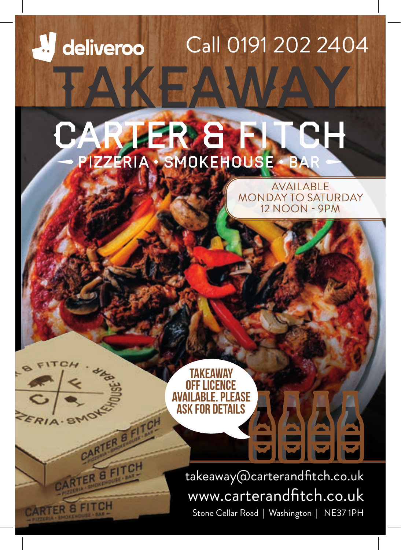# **A** deliveroo Call 0191 202 2404 Takeaway

# RGFTCH PIZZERIA · SMOKEHOUSE · BAR

AVAILABLE MONDAY TO SATURDAY 12 NOON - 9PM

**TAKEAWAY** off licence **FASE** ask for details

CARTER B.FITCH

CARTER & FITC

RIA ST

CARTER & FITCH

takeaway@carterandfitch.co.uk www.carterandfitch.co.uk Stone Cellar Road | Washington | NE37 1PH